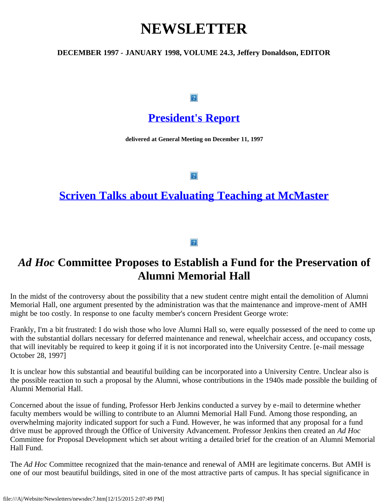# **NEWSLETTER**

### **DECEMBER 1997 - JANUARY 1998, VOLUME 24.3, Jeffery Donaldson, EDITOR**

#### $\boxed{?}$

## **[President's Report](file:///A|/Website/Newsletters/beattie.htm)**

**delivered at General Meeting on December 11, 1997**

 $|2|$ 

## **[Scriven Talks about Evaluating Teaching at McMaster](file:///A|/Website/Newsletters/scriven.htm)**

 $|2|$ 

## *Ad Hoc* **Committee Proposes to Establish a Fund for the Preservation of Alumni Memorial Hall**

In the midst of the controversy about the possibility that a new student centre might entail the demolition of Alumni Memorial Hall, one argument presented by the administration was that the maintenance and improve-ment of AMH might be too costly. In response to one faculty member's concern President George wrote:

Frankly, I'm a bit frustrated: I do wish those who love Alumni Hall so, were equally possessed of the need to come up with the substantial dollars necessary for deferred maintenance and renewal, wheelchair access, and occupancy costs, that will inevitably be required to keep it going if it is not incorporated into the University Centre. [e-mail message October 28, 1997]

It is unclear how this substantial and beautiful building can be incorporated into a University Centre. Unclear also is the possible reaction to such a proposal by the Alumni, whose contributions in the 1940s made possible the building of Alumni Memorial Hall.

Concerned about the issue of funding, Professor Herb Jenkins conducted a survey by e-mail to determine whether faculty members would be willing to contribute to an Alumni Memorial Hall Fund. Among those responding, an overwhelming majority indicated support for such a Fund. However, he was informed that any proposal for a fund drive must be approved through the Office of University Advancement. Professor Jenkins then created an *Ad Hoc* Committee for Proposal Development which set about writing a detailed brief for the creation of an Alumni Memorial Hall Fund.

The *Ad Hoc* Committee recognized that the main-tenance and renewal of AMH are legitimate concerns. But AMH is one of our most beautiful buildings, sited in one of the most attractive parts of campus. It has special significance in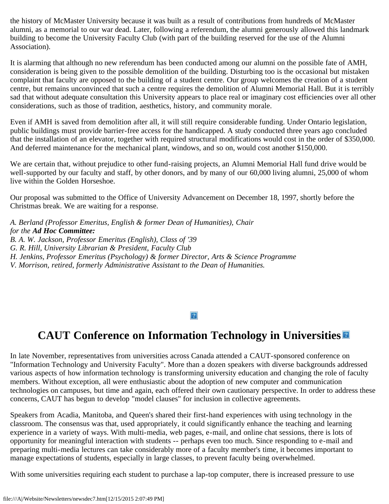the history of McMaster University because it was built as a result of contributions from hundreds of McMaster alumni, as a memorial to our war dead. Later, following a referendum, the alumni generously allowed this landmark building to become the University Faculty Club (with part of the building reserved for the use of the Alumni Association).

It is alarming that although no new referendum has been conducted among our alumni on the possible fate of AMH, consideration is being given to the possible demolition of the building. Disturbing too is the occasional but mistaken complaint that faculty are opposed to the building of a student centre. Our group welcomes the creation of a student centre, but remains unconvinced that such a centre requires the demolition of Alumni Memorial Hall. But it is terribly sad that without adequate consultation this University appears to place real or imaginary cost efficiencies over all other considerations, such as those of tradition, aesthetics, history, and community morale.

Even if AMH is saved from demolition after all, it will still require considerable funding. Under Ontario legislation, public buildings must provide barrier-free access for the handicapped. A study conducted three years ago concluded that the installation of an elevator, together with required structural modifications would cost in the order of \$350,000. And deferred maintenance for the mechanical plant, windows, and so on, would cost another \$150,000.

We are certain that, without prejudice to other fund-raising projects, an Alumni Memorial Hall fund drive would be well-supported by our faculty and staff, by other donors, and by many of our 60,000 living alumni, 25,000 of whom live within the Golden Horseshoe.

Our proposal was submitted to the Office of University Advancement on December 18, 1997, shortly before the Christmas break. We are waiting for a response.

*A. Berland (Professor Emeritus, English & former Dean of Humanities), Chair for the Ad Hoc Committee: B. A. W. Jackson, Professor Emeritus (English), Class of '39 G. R. Hill, University Librarian & President, Faculty Club H. Jenkins, Professor Emeritus (Psychology) & former Director, Arts & Science Programme V. Morrison, retired, formerly Administrative Assistant to the Dean of Humanities.*

### $\left|2\right\rangle$

## **CAUT Conference on Information Technology in Universities**

In late November, representatives from universities across Canada attended a CAUT-sponsored conference on "Information Technology and University Faculty". More than a dozen speakers with diverse backgrounds addressed various aspects of how information technology is transforming university education and changing the role of faculty members. Without exception, all were enthusiastic about the adoption of new computer and communication technologies on campuses, but time and again, each offered their own cautionary perspective. In order to address these concerns, CAUT has begun to develop "model clauses" for inclusion in collective agreements.

Speakers from Acadia, Manitoba, and Queen's shared their first-hand experiences with using technology in the classroom. The consensus was that, used appropriately, it could significantly enhance the teaching and learning experience in a variety of ways. With multi-media, web pages, e-mail, and online chat sessions, there is lots of opportunity for meaningful interaction with students -- perhaps even too much. Since responding to e-mail and preparing multi-media lectures can take considerably more of a faculty member's time, it becomes important to manage expectations of students, especially in large classes, to prevent faculty being overwhelmed.

With some universities requiring each student to purchase a lap-top computer, there is increased pressure to use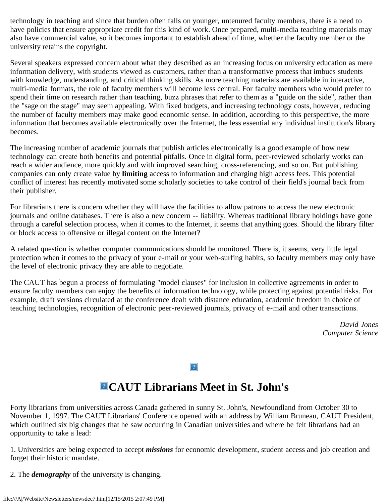technology in teaching and since that burden often falls on younger, untenured faculty members, there is a need to have policies that ensure appropriate credit for this kind of work. Once prepared, multi-media teaching materials may also have commercial value, so it becomes important to establish ahead of time, whether the faculty member or the university retains the copyright.

Several speakers expressed concern about what they described as an increasing focus on university education as mere information delivery, with students viewed as customers, rather than a transformative process that imbues students with knowledge, understanding, and critical thinking skills. As more teaching materials are available in interactive, multi-media formats, the role of faculty members will become less central. For faculty members who would prefer to spend their time on research rather than teaching, buzz phrases that refer to them as a "guide on the side", rather than the "sage on the stage" may seem appealing. With fixed budgets, and increasing technology costs, however, reducing the number of faculty members may make good economic sense. In addition, according to this perspective, the more information that becomes available electronically over the Internet, the less essential any individual institution's library becomes.

The increasing number of academic journals that publish articles electronically is a good example of how new technology can create both benefits and potential pitfalls. Once in digital form, peer-reviewed scholarly works can reach a wider audience, more quickly and with improved searching, cross-referencing, and so on. But publishing companies can only create value by **limiting** access to information and charging high access fees. This potential conflict of interest has recently motivated some scholarly societies to take control of their field's journal back from their publisher.

For librarians there is concern whether they will have the facilities to allow patrons to access the new electronic journals and online databases. There is also a new concern -- liability. Whereas traditional library holdings have gone through a careful selection process, when it comes to the Internet, it seems that anything goes. Should the library filter or block access to offensive or illegal content on the Internet?

A related question is whether computer communications should be monitored. There is, it seems, very little legal protection when it comes to the privacy of your e-mail or your web-surfing habits, so faculty members may only have the level of electronic privacy they are able to negotiate.

The CAUT has begun a process of formulating "model clauses" for inclusion in collective agreements in order to ensure faculty members can enjoy the benefits of information technology, while protecting against potential risks. For example, draft versions circulated at the conference dealt with distance education, academic freedom in choice of teaching technologies, recognition of electronic peer-reviewed journals, privacy of e-mail and other transactions.

> *David Jones Computer Science*

 $|2|$ 

## **CAUT Librarians Meet in St. John's**

Forty librarians from universities across Canada gathered in sunny St. John's, Newfoundland from October 30 to November 1, 1997. The CAUT Librarians' Conference opened with an address by William Bruneau, CAUT President, which outlined six big changes that he saw occurring in Canadian universities and where he felt librarians had an opportunity to take a lead:

1. Universities are being expected to accept *missions* for economic development, student access and job creation and forget their historic mandate.

2. The *demography* of the university is changing.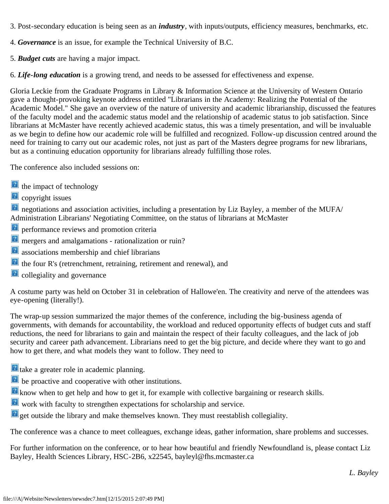- 3. Post-secondary education is being seen as an *industry*, with inputs/outputs, efficiency measures, benchmarks, etc.
- 4. *Governance* is an issue, for example the Technical University of B.C.
- 5. *Budget cuts* are having a major impact.

6. *Life-long education* is a growing trend, and needs to be assessed for effectiveness and expense.

Gloria Leckie from the Graduate Programs in Library & Information Science at the University of Western Ontario gave a thought-provoking keynote address entitled "Librarians in the Academy: Realizing the Potential of the Academic Model." She gave an overview of the nature of university and academic librarianship, discussed the features of the faculty model and the academic status model and the relationship of academic status to job satisfaction. Since librarians at McMaster have recently achieved academic status, this was a timely presentation, and will be invaluable as we begin to define how our academic role will be fulfilled and recognized. Follow-up discussion centred around the need for training to carry out our academic roles, not just as part of the Masters degree programs for new librarians, but as a continuing education opportunity for librarians already fulfilling those roles.

The conference also included sessions on:

- <sup>2</sup> the impact of technology
- <sup>2</sup> copyright issues

**P** negotiations and association activities, including a presentation by Liz Bayley, a member of the MUFA/ Administration Librarians' Negotiating Committee, on the status of librarians at McMaster

- **P** performance reviews and promotion criteria
- **P** mergers and amalgamations rationalization or ruin?
- **a** associations membership and chief librarians
- the four R's (retrenchment, retraining, retirement and renewal), and
- **P** collegiality and governance

A costume party was held on October 31 in celebration of Hallowe'en. The creativity and nerve of the attendees was eye-opening (literally!).

The wrap-up session summarized the major themes of the conference, including the big-business agenda of governments, with demands for accountability, the workload and reduced opportunity effects of budget cuts and staff reductions, the need for librarians to gain and maintain the respect of their faculty colleagues, and the lack of job security and career path advancement. Librarians need to get the big picture, and decide where they want to go and how to get there, and what models they want to follow. They need to

- **take a greater role in academic planning.**
- **P** be proactive and cooperative with other institutions.
- **E** know when to get help and how to get it, for example with collective bargaining or research skills.
- **E** work with faculty to strengthen expectations for scholarship and service.
- **P** get outside the library and make themselves known. They must reestablish collegiality.

The conference was a chance to meet colleagues, exchange ideas, gather information, share problems and successes.

For further information on the conference, or to hear how beautiful and friendly Newfoundland is, please contact Liz Bayley, Health Sciences Library, HSC-2B6, x22545, bayleyl@fhs.mcmaster.ca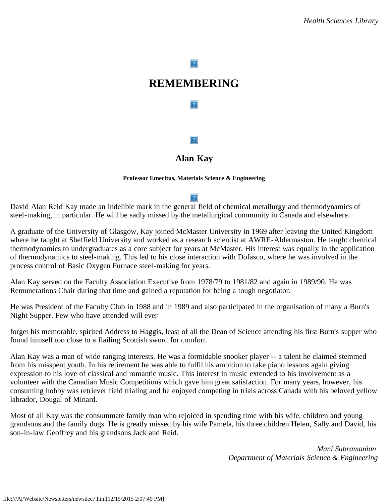#### $\boldsymbol{?}$

## **REMEMBERING**

 $|2|$ 

#### $\boxed{?}$

### **Alan Kay**

#### **Professor Emeritus, Materials Science & Engineering**

#### $|2|$

David Alan Reid Kay made an indelible mark in the general field of chemical metallurgy and thermodynamics of steel-making, in particular. He will be sadly missed by the metallurgical community in Canada and elsewhere.

A graduate of the University of Glasgow, Kay joined McMaster University in 1969 after leaving the United Kingdom where he taught at Sheffield University and worked as a research scientist at AWRE-Aldermaston. He taught chemical thermodynamics to undergraduates as a core subject for years at McMaster. His interest was equally in the application of thermodynamics to steel-making. This led to his close interaction with Dofasco, where he was involved in the process control of Basic Oxygen Furnace steel-making for years.

Alan Kay served on the Faculty Association Executive from 1978/79 to 1981/82 and again in 1989/90. He was Remunerations Chair during that time and gained a reputation for being a tough negotiator.

He was President of the Faculty Club in 1988 and in 1989 and also participated in the organisation of many a Burn's Night Supper. Few who have attended will ever

forget his memorable, spirited Address to Haggis, least of all the Dean of Science attending his first Burn's supper who found himself too close to a flailing Scottish sword for comfort.

Alan Kay was a man of wide ranging interests. He was a formidable snooker player -- a talent he claimed stemmed from his misspent youth. In his retirement he was able to fulfil his ambition to take piano lessons again giving expression to his love of classical and romantic music. This interest in music extended to his involvement as a volunteer with the Canadian Music Competitions which gave him great satisfaction. For many years, however, his consuming hobby was retriever field trialing and he enjoyed competing in trials across Canada with his beloved yellow labrador, Dougal of Minard.

Most of all Kay was the consummate family man who rejoiced in spending time with his wife, children and young grandsons and the family dogs. He is greatly missed by his wife Pamela, his three children Helen, Sally and David, his son-in-law Geoffrey and his grandsons Jack and Reid.

> *Mani Subramanian Department of Materials Science & Engineering*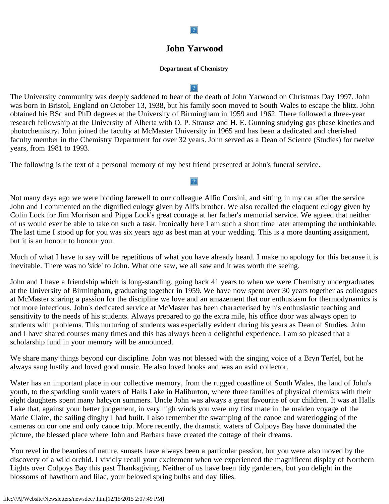#### $\mathbf{P}$

### **John Yarwood**

#### **Department of Chemistry**

#### $\vert$  ?

The University community was deeply saddened to hear of the death of John Yarwood on Christmas Day 1997. John was born in Bristol, England on October 13, 1938, but his family soon moved to South Wales to escape the blitz. John obtained his BSc and PhD degrees at the University of Birmingham in 1959 and 1962. There followed a three-year research fellowship at the University of Alberta with O. P. Strausz and H. E. Gunning studying gas phase kinetics and photochemistry. John joined the faculty at McMaster University in 1965 and has been a dedicated and cherished faculty member in the Chemistry Department for over 32 years. John served as a Dean of Science (Studies) for twelve years, from 1981 to 1993.

The following is the text of a personal memory of my best friend presented at John's funeral service.

Not many days ago we were bidding farewell to our colleague Alfio Corsini, and sitting in my car after the service John and I commented on the dignified eulogy given by Alf's brother. We also recalled the eloquent eulogy given by Colin Lock for Jim Morrison and Pippa Lock's great courage at her father's memorial service. We agreed that neither of us would ever be able to take on such a task. Ironically here I am such a short time later attempting the unthinkable. The last time I stood up for you was six years ago as best man at your wedding. This is a more daunting assignment, but it is an honour to honour you.

Much of what I have to say will be repetitious of what you have already heard. I make no apology for this because it is inevitable. There was no 'side' to John. What one saw, we all saw and it was worth the seeing.

John and I have a friendship which is long-standing, going back 41 years to when we were Chemistry undergraduates at the University of Birmingham, graduating together in 1959. We have now spent over 30 years together as colleagues at McMaster sharing a passion for the discipline we love and an amazement that our enthusiasm for thermodynamics is not more infectious. John's dedicated service at McMaster has been characterised by his enthusiastic teaching and sensitivity to the needs of his students. Always prepared to go the extra mile, his office door was always open to students with problems. This nurturing of students was especially evident during his years as Dean of Studies. John and I have shared courses many times and this has always been a delightful experience. I am so pleased that a scholarship fund in your memory will be announced.

We share many things beyond our discipline. John was not blessed with the singing voice of a Bryn Terfel, but he always sang lustily and loved good music. He also loved books and was an avid collector.

Water has an important place in our collective memory, from the rugged coastline of South Wales, the land of John's youth, to the sparkling sunlit waters of Halls Lake in Haliburton, where three families of physical chemists with their eight daughters spent many halcyon summers. Uncle John was always a great favourite of our children. It was at Halls Lake that, against your better judgement, in very high winds you were my first mate in the maiden voyage of the Marie Claire, the sailing dinghy I had built. I also remember the swamping of the canoe and waterlogging of the cameras on our one and only canoe trip. More recently, the dramatic waters of Colpoys Bay have dominated the picture, the blessed place where John and Barbara have created the cottage of their dreams.

You revel in the beauties of nature, sunsets have always been a particular passion, but you were also moved by the discovery of a wild orchid. I vividly recall your excitement when we experienced the magnificent display of Northern Lights over Colpoys Bay this past Thanksgiving. Neither of us have been tidy gardeners, but you delight in the blossoms of hawthorn and lilac, your beloved spring bulbs and day lilies.

## $|2|$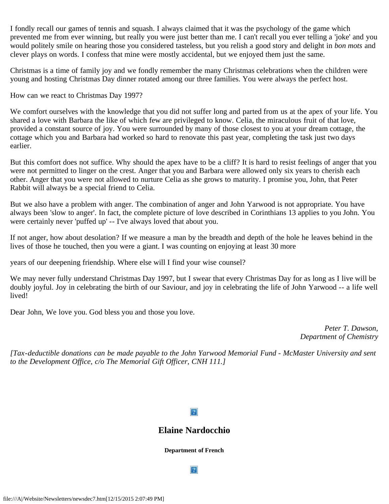I fondly recall our games of tennis and squash. I always claimed that it was the psychology of the game which prevented me from ever winning, but really you were just better than me. I can't recall you ever telling a 'joke' and you would politely smile on hearing those you considered tasteless, but you relish a good story and delight in *bon mots* and clever plays on words. I confess that mine were mostly accidental, but we enjoyed them just the same.

Christmas is a time of family joy and we fondly remember the many Christmas celebrations when the children were young and hosting Christmas Day dinner rotated among our three families. You were always the perfect host.

How can we react to Christmas Day 1997?

We comfort ourselves with the knowledge that you did not suffer long and parted from us at the apex of your life. You shared a love with Barbara the like of which few are privileged to know. Celia, the miraculous fruit of that love, provided a constant source of joy. You were surrounded by many of those closest to you at your dream cottage, the cottage which you and Barbara had worked so hard to renovate this past year, completing the task just two days earlier.

But this comfort does not suffice. Why should the apex have to be a cliff? It is hard to resist feelings of anger that you were not permitted to linger on the crest. Anger that you and Barbara were allowed only six years to cherish each other. Anger that you were not allowed to nurture Celia as she grows to maturity. I promise you, John, that Peter Rabbit will always be a special friend to Celia.

But we also have a problem with anger. The combination of anger and John Yarwood is not appropriate. You have always been 'slow to anger'. In fact, the complete picture of love described in Corinthians 13 applies to you John. You were certainly never 'puffed up' -- I've always loved that about you.

If not anger, how about desolation? If we measure a man by the breadth and depth of the hole he leaves behind in the lives of those he touched, then you were a giant. I was counting on enjoying at least 30 more

years of our deepening friendship. Where else will I find your wise counsel?

We may never fully understand Christmas Day 1997, but I swear that every Christmas Day for as long as I live will be doubly joyful. Joy in celebrating the birth of our Saviour, and joy in celebrating the life of John Yarwood -- a life well lived!

Dear John, We love you. God bless you and those you love.

*Peter T. Dawson, Department of Chemistry*

*[Tax-deductible donations can be made payable to the John Yarwood Memorial Fund - McMaster University and sent to the Development Office, c/o The Memorial Gift Officer, CNH 111.]*

### $|2|$

### **Elaine Nardocchio**

**Department of French**

 $|2|$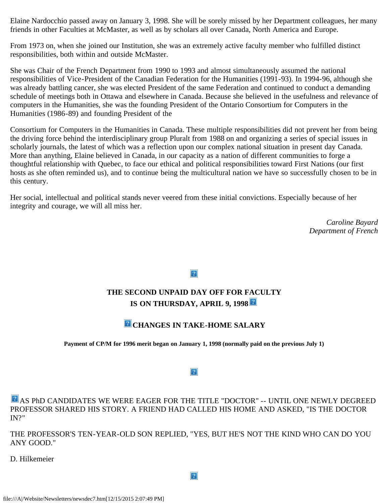Elaine Nardocchio passed away on January 3, 1998. She will be sorely missed by her Department colleagues, her many friends in other Faculties at McMaster, as well as by scholars all over Canada, North America and Europe.

From 1973 on, when she joined our Institution, she was an extremely active faculty member who fulfilled distinct responsibilities, both within and outside McMaster.

She was Chair of the French Department from 1990 to 1993 and almost simultaneously assumed the national responsibilities of Vice-President of the Canadian Federation for the Humanities (1991-93). In 1994-96, although she was already battling cancer, she was elected President of the same Federation and continued to conduct a demanding schedule of meetings both in Ottawa and elsewhere in Canada. Because she believed in the usefulness and relevance of computers in the Humanities, she was the founding President of the Ontario Consortium for Computers in the Humanities (1986-89) and founding President of the

Consortium for Computers in the Humanities in Canada. These multiple responsibilities did not prevent her from being the driving force behind the interdisciplinary group Pluralt from 1988 on and organizing a series of special issues in scholarly journals, the latest of which was a reflection upon our complex national situation in present day Canada. More than anything, Elaine believed in Canada, in our capacity as a nation of different communities to forge a thoughtful relationship with Quebec, to face our ethical and political responsibilities toward First Nations (our first hosts as she often reminded us), and to continue being the multicultural nation we have so successfully chosen to be in this century.

Her social, intellectual and political stands never veered from these initial convictions. Especially because of her integrity and courage, we will all miss her.

> *Caroline Bayard Department of French*

 $|2|$ 

## **THE SECOND UNPAID DAY OFF FOR FACULTY IS ON THURSDAY, APRIL 9, 1998**

## **CHANGES IN TAKE-HOME SALARY**

**Payment of CP/M for 1996 merit began on January 1, 1998 (normally paid on the previous July 1)**

#### $|2|$

**AS PhD CANDIDATES WE WERE EAGER FOR THE TITLE "DOCTOR" -- UNTIL ONE NEWLY DEGREED** PROFESSOR SHARED HIS STORY. A FRIEND HAD CALLED HIS HOME AND ASKED, "IS THE DOCTOR IN?"

THE PROFESSOR'S TEN-YEAR-OLD SON REPLIED, "YES, BUT HE'S NOT THE KIND WHO CAN DO YOU ANY GOOD."

D. Hilkemeier